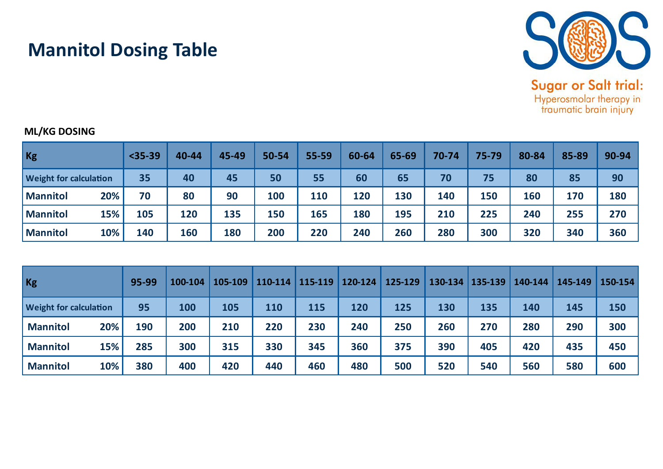

## **Mannitol Dosing Table**

## **ML/KG DOSING**

| $ $ Kg                        | $35-39$ | 40-44 | 45-49 | 50-54 | 55-59 | 60-64 | 65-69 | 70-74 | 75-79 | 80-84 | 85-89 | 90-94 |
|-------------------------------|---------|-------|-------|-------|-------|-------|-------|-------|-------|-------|-------|-------|
| <b>Weight for calculation</b> | 35      | 40    | 45    | 50    | 55    | 60    | 65    | 70    | 75    | 80    | 85    | 90    |
| 20%<br><b>Mannitol</b>        | 70      | 80    | 90    | 100   | 110   | 120   | 130   | 140   | 150   | 160   | 170   | 180   |
| 15%<br><b>Mannitol</b>        | 105     | 120   | 135   | 150   | 165   | 180   | 195   | 210   | 225   | 240   | 255   | 270   |
| 10%<br><b>Mannitol</b>        | 140     | 160   | 180   | 200   | 220   | 240   | 260   | 280   | 300   | 320   | 340   | 360   |

| $ $ Kg                        |     | 95-99 | 100-104 | 105-109 | 110-114 | 115-119 | 120-124 | 125-129 | $130 - 134$ | 135-139 | 140-144 | 145-149 | 150-154 |
|-------------------------------|-----|-------|---------|---------|---------|---------|---------|---------|-------------|---------|---------|---------|---------|
| <b>Weight for calculation</b> |     | 95    | 100     | 105     | 110     | 115     | 120     | 125     | 130         | 135     | 140     | 145     | 150     |
| <b>Mannitol</b>               | 20% | 190   | 200     | 210     | 220     | 230     | 240     | 250     | 260         | 270     | 280     | 290     | 300     |
| <b>Mannitol</b>               | 15% | 285   | 300     | 315     | 330     | 345     | 360     | 375     | 390         | 405     | 420     | 435     | 450     |
| <b>Mannitol</b>               | 10% | 380   | 400     | 420     | 440     | 460     | 480     | 500     | 520         | 540     | 560     | 580     | 600     |